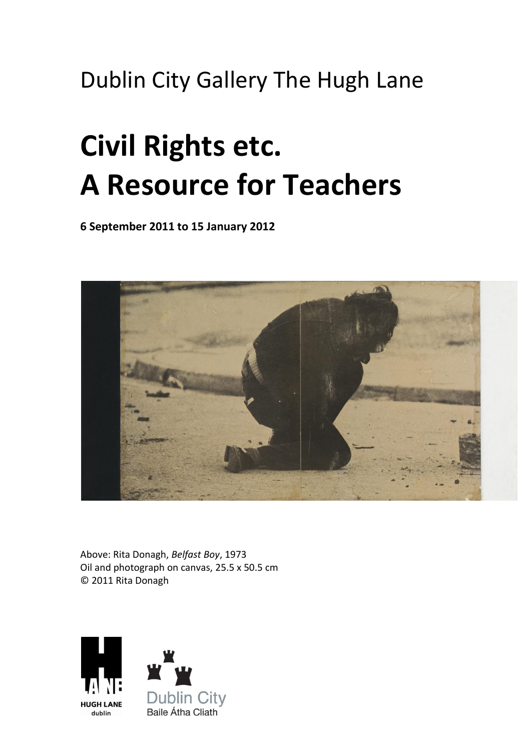# Dublin City Gallery The Hugh Lane

# **Civil Rights etc. A Resource for Teachers**

**6 September 2011 to 15 January 2012**



Above: Rita Donagh, *Belfast Boy*, 1973 Oil and photograph on canvas, 25.5 x 50.5 cm © 2011 Rita Donagh

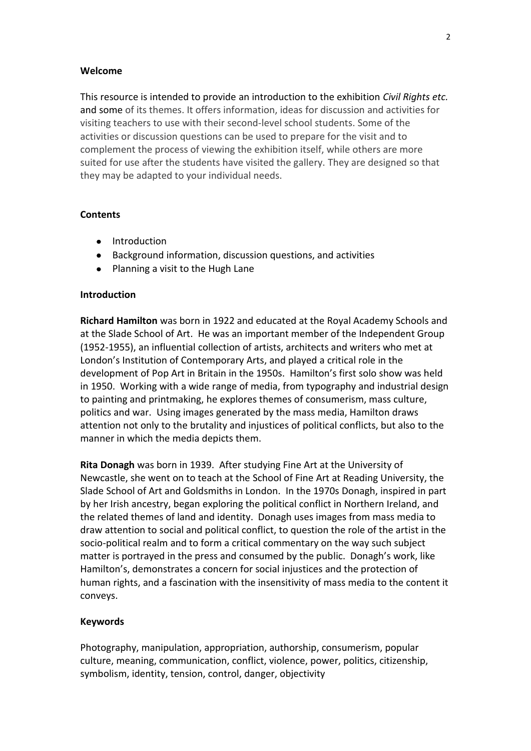#### **Welcome**

This resource is intended to provide an introduction to the exhibition *Civil Rights etc.*  and some of its themes. It offers information, ideas for discussion and activities for visiting teachers to use with their second-level school students. Some of the activities or discussion questions can be used to prepare for the visit and to complement the process of viewing the exhibition itself, while others are more suited for use after the students have visited the gallery. They are designed so that they may be adapted to your individual needs.

### **Contents**

- Introduction
- Background information, discussion questions, and activities
- Planning a visit to the Hugh Lane

### **Introduction**

**Richard Hamilton** was born in 1922 and educated at the Royal Academy Schools and at the Slade School of Art. He was an important member of the Independent Group (1952-1955), an influential collection of artists, architects and writers who met at London's Institution of Contemporary Arts, and played a critical role in the development of Pop Art in Britain in the 1950s. Hamilton's first solo show was held in 1950. Working with a wide range of media, from typography and industrial design to painting and printmaking, he explores themes of consumerism, mass culture, politics and war. Using images generated by the mass media, Hamilton draws attention not only to the brutality and injustices of political conflicts, but also to the manner in which the media depicts them.

**Rita Donagh** was born in 1939. After studying Fine Art at the University of Newcastle, she went on to teach at the School of Fine Art at Reading University, the Slade School of Art and Goldsmiths in London. In the 1970s Donagh, inspired in part by her Irish ancestry, began exploring the political conflict in Northern Ireland, and the related themes of land and identity. Donagh uses images from mass media to draw attention to social and political conflict, to question the role of the artist in the socio-political realm and to form a critical commentary on the way such subject matter is portrayed in the press and consumed by the public. Donagh's work, like Hamilton's, demonstrates a concern for social injustices and the protection of human rights, and a fascination with the insensitivity of mass media to the content it conveys.

# **Keywords**

Photography, manipulation, appropriation, authorship, consumerism, popular culture, meaning, communication, conflict, violence, power, politics, citizenship, symbolism, identity, tension, control, danger, objectivity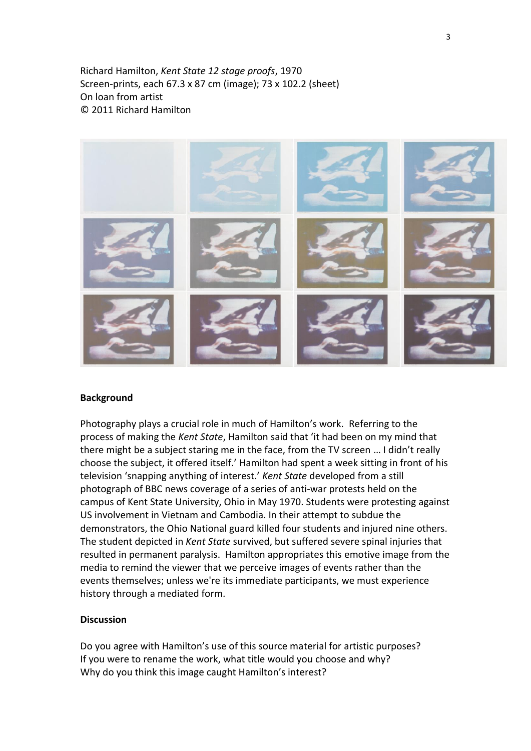Richard Hamilton, *Kent State 12 stage proofs*, 1970 Screen-prints, each 67.3 x 87 cm (image); 73 x 102.2 (sheet) On loan from artist © 2011 Richard Hamilton



#### **Background**

Photography plays a crucial role in much of Hamilton's work. Referring to the process of making the *Kent State*, Hamilton said that 'it had been on my mind that there might be a subject staring me in the face, from the TV screen … I didn't really choose the subject, it offered itself.' Hamilton had spent a week sitting in front of his television 'snapping anything of interest.' *Kent State* developed from a still photograph of BBC news coverage of a series of anti-war protests held on the campus of Kent State University, Ohio in May 1970. Students were protesting against US involvement in Vietnam and Cambodia. In their attempt to subdue the demonstrators, the Ohio National guard killed four students and injured nine others. The student depicted in *Kent State* survived, but suffered severe spinal injuries that resulted in permanent paralysis. Hamilton appropriates this emotive image from the media to remind the viewer that we perceive images of events rather than the events themselves; unless we're its immediate participants, we must experience history through a mediated form.

# **Discussion**

Do you agree with Hamilton's use of this source material for artistic purposes? If you were to rename the work, what title would you choose and why? Why do you think this image caught Hamilton's interest?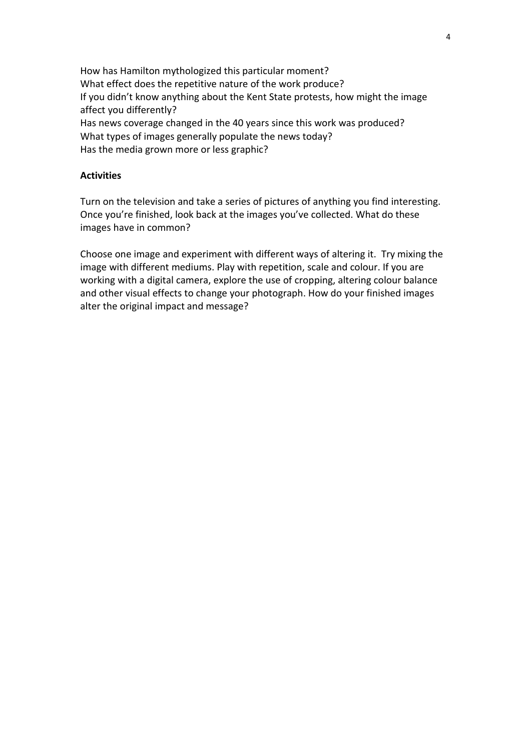How has Hamilton mythologized this particular moment? What effect does the repetitive nature of the work produce? If you didn't know anything about the Kent State protests, how might the image affect you differently? Has news coverage changed in the 40 years since this work was produced? What types of images generally populate the news today? Has the media grown more or less graphic?

#### **Activities**

Turn on the television and take a series of pictures of anything you find interesting. Once you're finished, look back at the images you've collected. What do these images have in common?

Choose one image and experiment with different ways of altering it. Try mixing the image with different mediums. Play with repetition, scale and colour. If you are working with a digital camera, explore the use of cropping, altering colour balance and other visual effects to change your photograph. How do your finished images alter the original impact and message?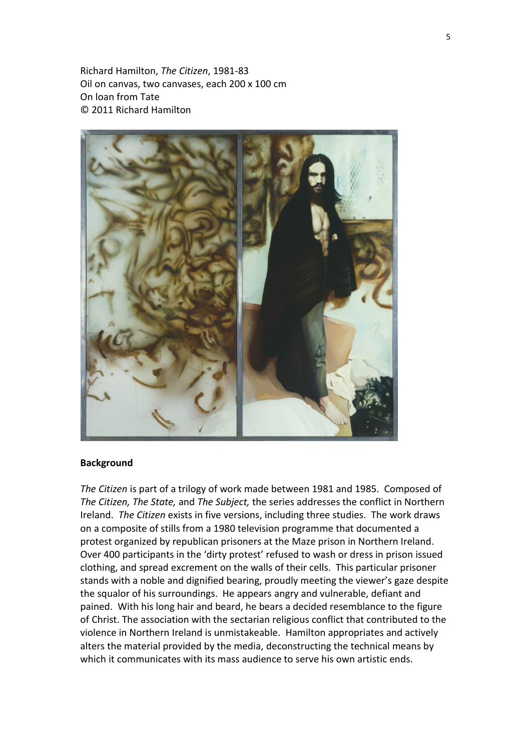Richard Hamilton, *The Citizen*, 1981-83 Oil on canvas, two canvases, each 200 x 100 cm On loan from Tate © 2011 Richard Hamilton



#### **Background**

*The Citizen* is part of a trilogy of work made between 1981 and 1985. Composed of *The Citizen, The State,* and *The Subject,* the series addresses the conflict in Northern Ireland. *The Citizen* exists in five versions, including three studies. The work draws on a composite of stills from a 1980 television programme that documented a protest organized by republican prisoners at the Maze prison in Northern Ireland. Over 400 participants in the 'dirty protest' refused to wash or dress in prison issued clothing, and spread excrement on the walls of their cells. This particular prisoner stands with a noble and dignified bearing, proudly meeting the viewer's gaze despite the squalor of his surroundings. He appears angry and vulnerable, defiant and pained. With his long hair and beard, he bears a decided resemblance to the figure of Christ. The association with the sectarian religious conflict that contributed to the violence in Northern Ireland is unmistakeable. Hamilton appropriates and actively alters the material provided by the media, deconstructing the technical means by which it communicates with its mass audience to serve his own artistic ends.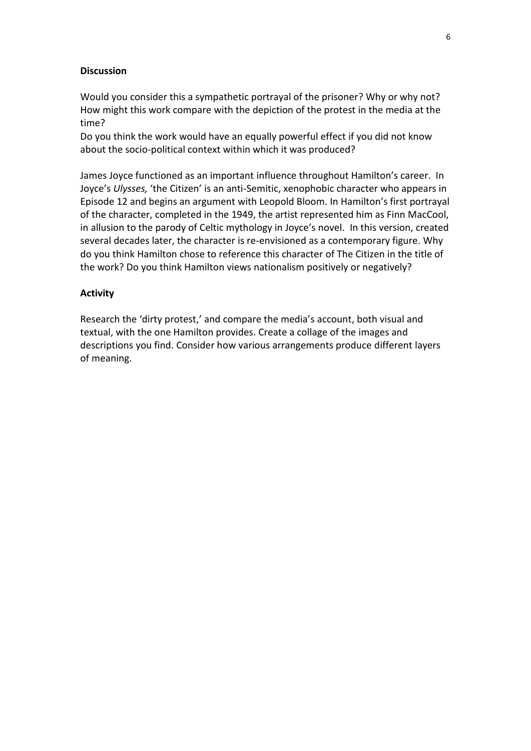### **Discussion**

Would you consider this a sympathetic portrayal of the prisoner? Why or why not? How might this work compare with the depiction of the protest in the media at the time?

Do you think the work would have an equally powerful effect if you did not know about the socio-political context within which it was produced?

James Joyce functioned as an important influence throughout Hamilton's career. In Joyce's *Ulysses,* 'the Citizen' is an anti-Semitic, xenophobic character who appears in Episode 12 and begins an argument with Leopold Bloom. In Hamilton's first portrayal of the character, completed in the 1949, the artist represented him as Finn MacCool, in allusion to the parody of Celtic mythology in Joyce's novel. In this version, created several decades later, the character is re-envisioned as a contemporary figure. Why do you think Hamilton chose to reference this character of The Citizen in the title of the work? Do you think Hamilton views nationalism positively or negatively?

#### **Activity**

Research the 'dirty protest,' and compare the media's account, both visual and textual, with the one Hamilton provides. Create a collage of the images and descriptions you find. Consider how various arrangements produce different layers of meaning.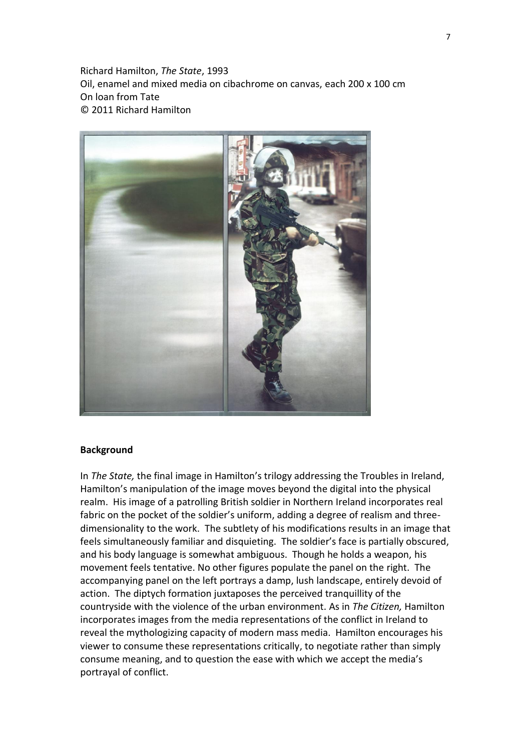Richard Hamilton, *The State*, 1993 Oil, enamel and mixed media on cibachrome on canvas, each 200 x 100 cm On loan from Tate © 2011 Richard Hamilton



#### **Background**

In *The State,* the final image in Hamilton's trilogy addressing the Troubles in Ireland, Hamilton's manipulation of the image moves beyond the digital into the physical realm. His image of a patrolling British soldier in Northern Ireland incorporates real fabric on the pocket of the soldier's uniform, adding a degree of realism and threedimensionality to the work. The subtlety of his modifications results in an image that feels simultaneously familiar and disquieting. The soldier's face is partially obscured, and his body language is somewhat ambiguous. Though he holds a weapon, his movement feels tentative. No other figures populate the panel on the right. The accompanying panel on the left portrays a damp, lush landscape, entirely devoid of action. The diptych formation juxtaposes the perceived tranquillity of the countryside with the violence of the urban environment. As in *The Citizen,* Hamilton incorporates images from the media representations of the conflict in Ireland to reveal the mythologizing capacity of modern mass media. Hamilton encourages his viewer to consume these representations critically, to negotiate rather than simply consume meaning, and to question the ease with which we accept the media's portrayal of conflict.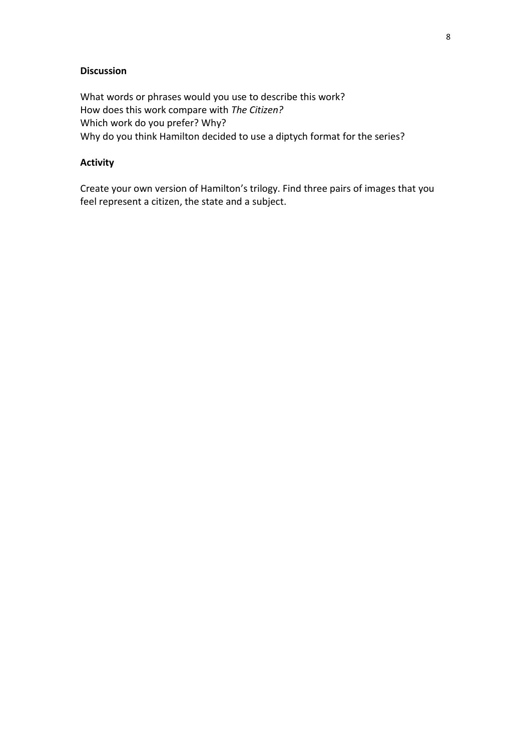# **Discussion**

What words or phrases would you use to describe this work? How does this work compare with *The Citizen?* Which work do you prefer? Why? Why do you think Hamilton decided to use a diptych format for the series?

# **Activity**

Create your own version of Hamilton's trilogy. Find three pairs of images that you feel represent a citizen, the state and a subject.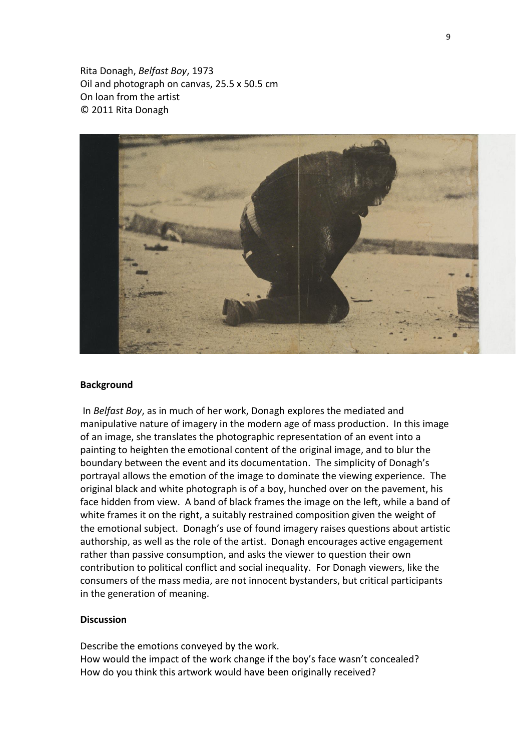Rita Donagh, *Belfast Boy*, 1973 Oil and photograph on canvas, 25.5 x 50.5 cm On loan from the artist © 2011 Rita Donagh



#### **Background**

In *Belfast Boy*, as in much of her work, Donagh explores the mediated and manipulative nature of imagery in the modern age of mass production. In this image of an image, she translates the photographic representation of an event into a painting to heighten the emotional content of the original image, and to blur the boundary between the event and its documentation. The simplicity of Donagh's portrayal allows the emotion of the image to dominate the viewing experience. The original black and white photograph is of a boy, hunched over on the pavement, his face hidden from view. A band of black frames the image on the left, while a band of white frames it on the right, a suitably restrained composition given the weight of the emotional subject. Donagh's use of found imagery raises questions about artistic authorship, as well as the role of the artist. Donagh encourages active engagement rather than passive consumption, and asks the viewer to question their own contribution to political conflict and social inequality. For Donagh viewers, like the consumers of the mass media, are not innocent bystanders, but critical participants in the generation of meaning.

# **Discussion**

Describe the emotions conveyed by the work. How would the impact of the work change if the boy's face wasn't concealed? How do you think this artwork would have been originally received?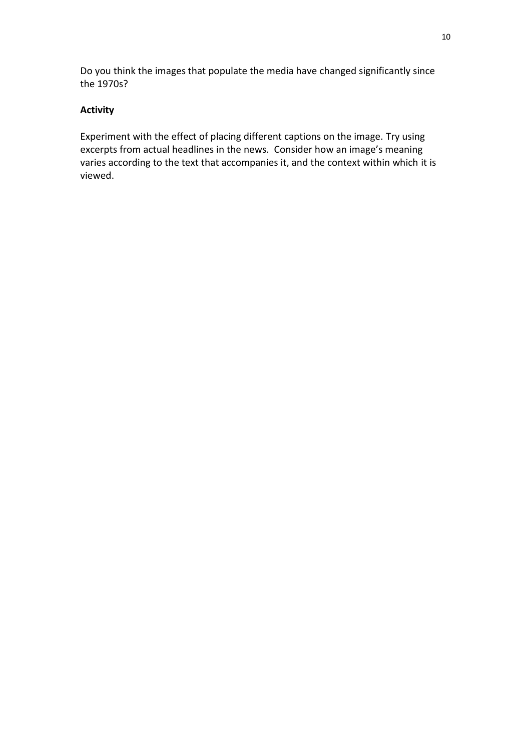Do you think the images that populate the media have changed significantly since the 1970s?

# **Activity**

Experiment with the effect of placing different captions on the image. Try using excerpts from actual headlines in the news. Consider how an image's meaning varies according to the text that accompanies it, and the context within which it is viewed.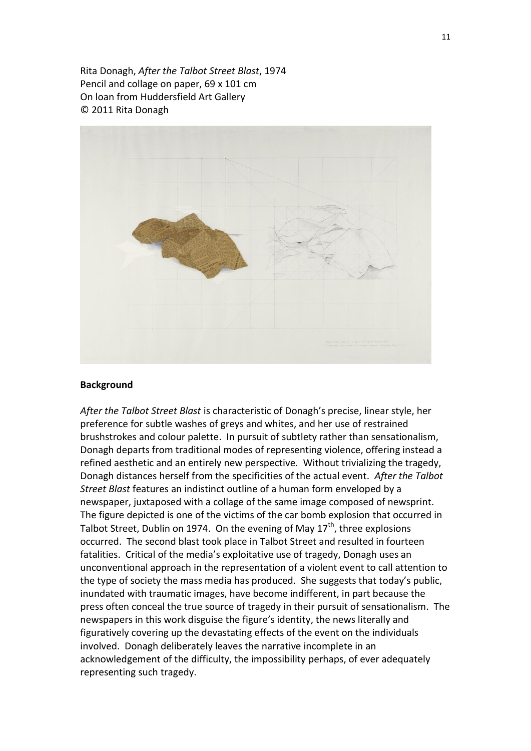Rita Donagh, *After the Talbot Street Blast*, 1974 Pencil and collage on paper, 69 x 101 cm On loan from Huddersfield Art Gallery © 2011 Rita Donagh



### **Background**

*After the Talbot Street Blast* is characteristic of Donagh's precise, linear style, her preference for subtle washes of greys and whites, and her use of restrained brushstrokes and colour palette. In pursuit of subtlety rather than sensationalism, Donagh departs from traditional modes of representing violence, offering instead a refined aesthetic and an entirely new perspective. Without trivializing the tragedy, Donagh distances herself from the specificities of the actual event. *After the Talbot Street Blast* features an indistinct outline of a human form enveloped by a newspaper, juxtaposed with a collage of the same image composed of newsprint. The figure depicted is one of the victims of the car bomb explosion that occurred in Talbot Street, Dublin on 1974. On the evening of May  $17<sup>th</sup>$ , three explosions occurred. The second blast took place in Talbot Street and resulted in fourteen fatalities. Critical of the media's exploitative use of tragedy, Donagh uses an unconventional approach in the representation of a violent event to call attention to the type of society the mass media has produced. She suggests that today's public, inundated with traumatic images, have become indifferent, in part because the press often conceal the true source of tragedy in their pursuit of sensationalism. The newspapers in this work disguise the figure's identity, the news literally and figuratively covering up the devastating effects of the event on the individuals involved. Donagh deliberately leaves the narrative incomplete in an acknowledgement of the difficulty, the impossibility perhaps, of ever adequately representing such tragedy.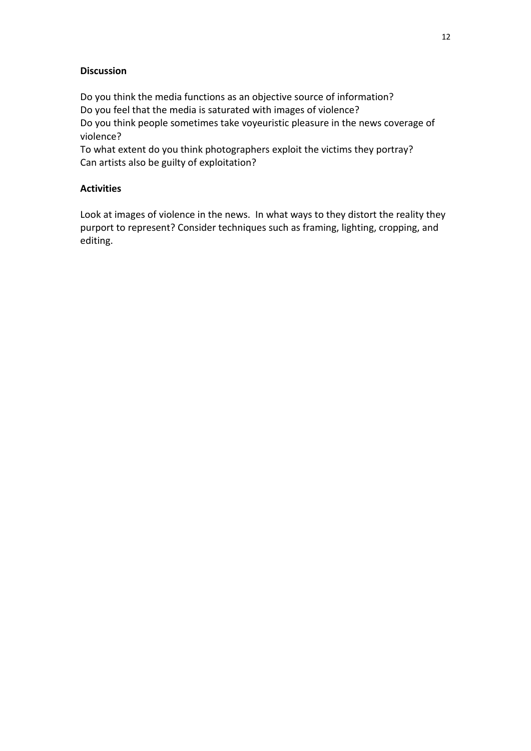# **Discussion**

Do you think the media functions as an objective source of information? Do you feel that the media is saturated with images of violence? Do you think people sometimes take voyeuristic pleasure in the news coverage of violence?

To what extent do you think photographers exploit the victims they portray? Can artists also be guilty of exploitation?

# **Activities**

Look at images of violence in the news. In what ways to they distort the reality they purport to represent? Consider techniques such as framing, lighting, cropping, and editing.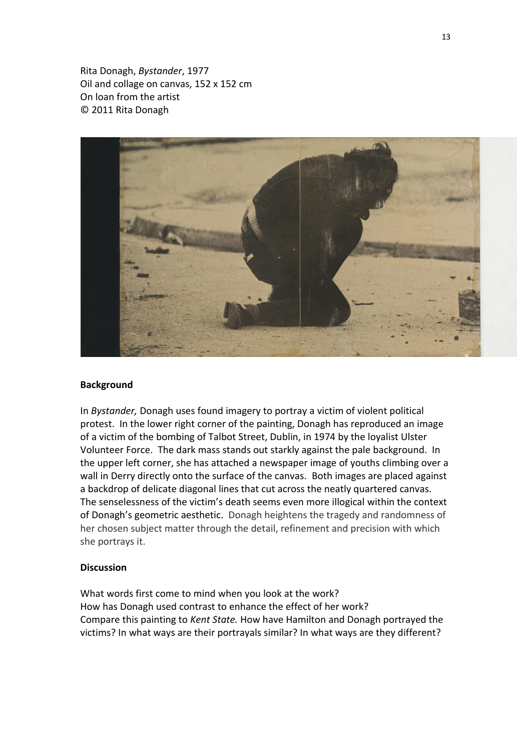Rita Donagh, *Bystander*, 1977 Oil and collage on canvas, 152 x 152 cm On loan from the artist © 2011 Rita Donagh



#### **Background**

In *Bystander,* Donagh uses found imagery to portray a victim of violent political protest. In the lower right corner of the painting, Donagh has reproduced an image of a victim of the bombing of Talbot Street, Dublin, in 1974 by the loyalist Ulster Volunteer Force. The dark mass stands out starkly against the pale background. In the upper left corner, she has attached a newspaper image of youths climbing over a wall in Derry directly onto the surface of the canvas. Both images are placed against a backdrop of delicate diagonal lines that cut across the neatly quartered canvas. The senselessness of the victim's death seems even more illogical within the context of Donagh's geometric aesthetic. Donagh heightens the tragedy and randomness of her chosen subject matter through the detail, refinement and precision with which she portrays it.

#### **Discussion**

What words first come to mind when you look at the work? How has Donagh used contrast to enhance the effect of her work? Compare this painting to *Kent State.* How have Hamilton and Donagh portrayed the victims? In what ways are their portrayals similar? In what ways are they different?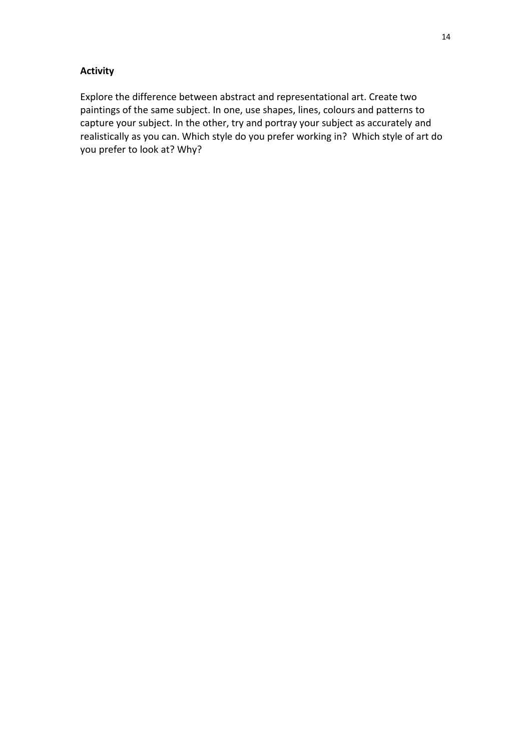# **Activity**

Explore the difference between abstract and representational art. Create two paintings of the same subject. In one, use shapes, lines, colours and patterns to capture your subject. In the other, try and portray your subject as accurately and realistically as you can. Which style do you prefer working in? Which style of art do you prefer to look at? Why?